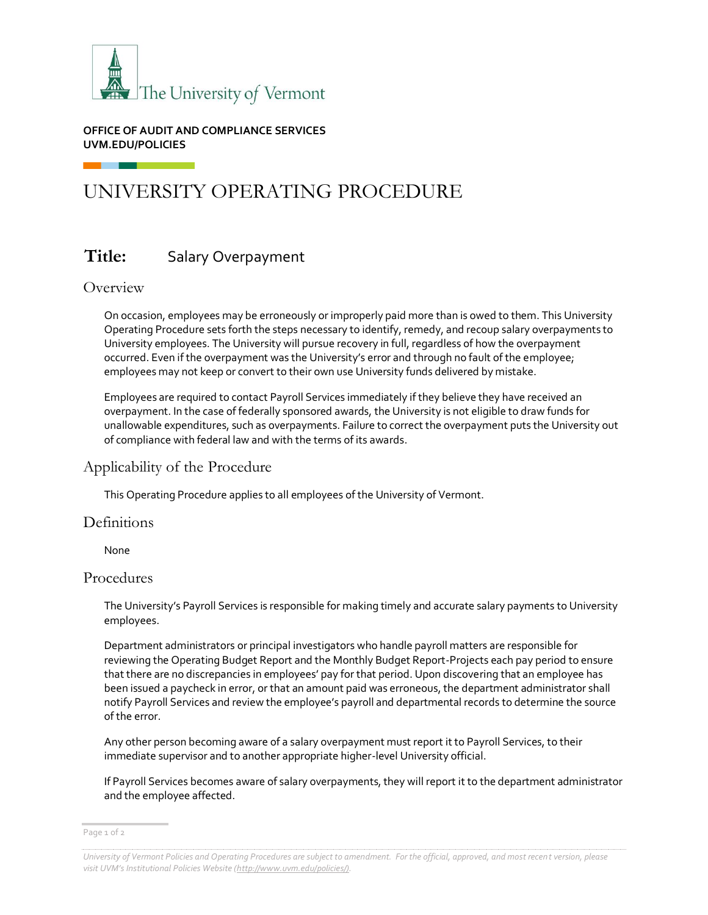

#### **OFFICE OF AUDIT AND COMPLIANCE SERVICES UVM.EDU/POLICIES**

# UNIVERSITY OPERATING PROCEDURE

## **Title:** Salary Overpayment

## Overview

On occasion, employees may be erroneously or improperly paid more than is owed to them. This University Operating Procedure sets forth the steps necessary to identify, remedy, and recoup salary overpayments to University employees. The University will pursue recovery in full, regardless of how the overpayment occurred. Even if the overpayment was the University's error and through no fault of the employee; employees may not keep or convert to their own use University funds delivered by mistake.

Employees are required to contact Payroll Services immediately if they believe they have received an overpayment. In the case of federally sponsored awards, the University is not eligible to draw funds for unallowable expenditures, such as overpayments. Failure to correct the overpayment puts the University out of compliance with federal law and with the terms of its awards.

## Applicability of the Procedure

This Operating Procedure applies to all employees of the University of Vermont.

## **Definitions**

None

#### Procedures

The University's Payroll Services is responsible for making timely and accurate salary payments to University employees.

Department administrators or principal investigators who handle payroll matters are responsible for reviewing the Operating Budget Report and the Monthly Budget Report-Projects each pay period to ensure that there are no discrepancies in employees' pay for that period. Upon discovering that an employee has been issued a paycheck in error, or that an amount paid was erroneous, the department administrator shall notify Payroll Services and review the employee's payroll and departmental records to determine the source of the error.

Any other person becoming aware of a salary overpayment must report it to Payroll Services, to their immediate supervisor and to another appropriate higher-level University official.

If Payroll Services becomes aware of salary overpayments, they will report it to the department administrator and the employee affected.

*University of Vermont Policies and Operating Procedures are subject to amendment. For the official, approved, and most recent version, please visit UVM's Institutional Policies Website ([http://www.uvm.edu/policies/\).](http://www.uvm.edu/policies/))*

Page 1 of 2